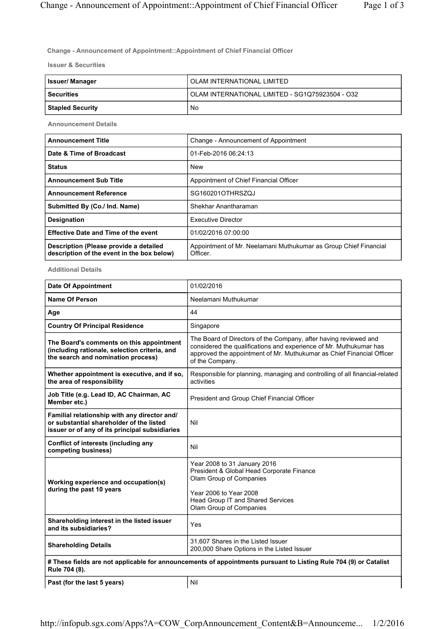$\overline{\phantom{a}}$ 

**Change - Announcement of Appointment::Appointment of Chief Financial Officer**

**Issuer & Securities**

| <b>Issuer/Manager</b>   | OLAM INTERNATIONAL LIMITED                      |
|-------------------------|-------------------------------------------------|
| <b>Securities</b>       | OLAM INTERNATIONAL LIMITED - SG1Q75923504 - O32 |
| <b>Stapled Security</b> | No                                              |

**Announcement Details**

| <b>Announcement Title</b>                                                            | Change - Announcement of Appointment                                        |
|--------------------------------------------------------------------------------------|-----------------------------------------------------------------------------|
| Date & Time of Broadcast                                                             | 01-Feb-2016 06:24:13                                                        |
| <b>Status</b>                                                                        | <b>New</b>                                                                  |
| <b>Announcement Sub Title</b>                                                        | Appointment of Chief Financial Officer                                      |
| <b>Announcement Reference</b>                                                        | SG160201OTHRSZQJ                                                            |
| Submitted By (Co./ Ind. Name)                                                        | Shekhar Anantharaman                                                        |
| <b>Designation</b>                                                                   | Executive Director                                                          |
| <b>Effective Date and Time of the event</b>                                          | 01/02/2016 07:00:00                                                         |
| Description (Please provide a detailed<br>description of the event in the box below) | Appointment of Mr. Neelamani Muthukumar as Group Chief Financial<br>Officer |

**Additional Details**

| <b>Date Of Appointment</b>                                                                                                                 | 01/02/2016                                                                                                                                                                                                                         |  |
|--------------------------------------------------------------------------------------------------------------------------------------------|------------------------------------------------------------------------------------------------------------------------------------------------------------------------------------------------------------------------------------|--|
| <b>Name Of Person</b>                                                                                                                      | Neelamani Muthukumar                                                                                                                                                                                                               |  |
| Age                                                                                                                                        | 44                                                                                                                                                                                                                                 |  |
| <b>Country Of Principal Residence</b>                                                                                                      | Singapore                                                                                                                                                                                                                          |  |
| The Board's comments on this appointment<br>(including rationale, selection criteria, and<br>the search and nomination process)            | The Board of Directors of the Company, after having reviewed and<br>considered the qualifications and experience of Mr. Muthukumar has<br>approved the appointment of Mr. Muthukumar as Chief Financial Officer<br>of the Company. |  |
| Whether appointment is executive, and if so,<br>the area of responsibility                                                                 | Responsible for planning, managing and controlling of all financial-related<br>activities                                                                                                                                          |  |
| Job Title (e.g. Lead ID, AC Chairman, AC<br>Member etc.)                                                                                   | President and Group Chief Financial Officer                                                                                                                                                                                        |  |
| Familial relationship with any director and/<br>or substantial shareholder of the listed<br>issuer or of any of its principal subsidiaries | Nil                                                                                                                                                                                                                                |  |
| Conflict of interests (including any<br>competing business)                                                                                | Nil                                                                                                                                                                                                                                |  |
| Working experience and occupation(s)<br>during the past 10 years                                                                           | Year 2008 to 31 January 2016<br>President & Global Head Corporate Finance<br>Olam Group of Companies<br>Year 2006 to Year 2008<br>Head Group IT and Shared Services<br>Olam Group of Companies                                     |  |
| Shareholding interest in the listed issuer<br>and its subsidiaries?                                                                        | Yes                                                                                                                                                                                                                                |  |
| <b>Shareholding Details</b>                                                                                                                | 31,607 Shares in the Listed Issuer<br>200,000 Share Options in the Listed Issuer                                                                                                                                                   |  |
| # These fields are not applicable for announcements of appointments pursuant to Listing Rule 704 (9) or Catalist<br>Rule 704 (8).          |                                                                                                                                                                                                                                    |  |

**Past (for the last 5 years)** Nil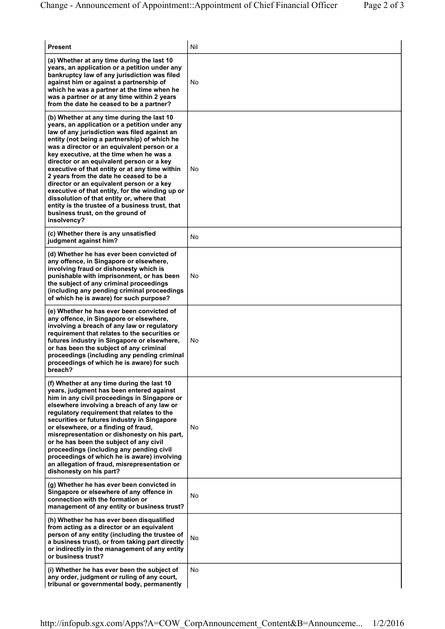| <b>Present</b>                                                                                                                                                                                                                                                                                                                                                                                                                                                                                                                                                                                                                                                                      | Nil |
|-------------------------------------------------------------------------------------------------------------------------------------------------------------------------------------------------------------------------------------------------------------------------------------------------------------------------------------------------------------------------------------------------------------------------------------------------------------------------------------------------------------------------------------------------------------------------------------------------------------------------------------------------------------------------------------|-----|
| (a) Whether at any time during the last 10<br>years, an application or a petition under any<br>bankruptcy law of any jurisdiction was filed<br>against him or against a partnership of<br>which he was a partner at the time when he<br>was a partner or at any time within 2 years<br>from the date he ceased to be a partner?                                                                                                                                                                                                                                                                                                                                                     | No  |
| (b) Whether at any time during the last 10<br>years, an application or a petition under any<br>law of any jurisdiction was filed against an<br>entity (not being a partnership) of which he<br>was a director or an equivalent person or a<br>key executive, at the time when he was a<br>director or an equivalent person or a key<br>executive of that entity or at any time within<br>2 years from the date he ceased to be a<br>director or an equivalent person or a key<br>executive of that entity, for the winding up or<br>dissolution of that entity or, where that<br>entity is the trustee of a business trust, that<br>business trust, on the ground of<br>insolvency? | No  |
| (c) Whether there is any unsatisfied<br>judgment against him?                                                                                                                                                                                                                                                                                                                                                                                                                                                                                                                                                                                                                       | No  |
| (d) Whether he has ever been convicted of<br>any offence, in Singapore or elsewhere,<br>involving fraud or dishonesty which is<br>punishable with imprisonment, or has been<br>the subject of any criminal proceedings<br>(including any pending criminal proceedings<br>of which he is aware) for such purpose?                                                                                                                                                                                                                                                                                                                                                                    | No  |
| (e) Whether he has ever been convicted of<br>any offence, in Singapore or elsewhere,<br>involving a breach of any law or regulatory<br>requirement that relates to the securities or<br>futures industry in Singapore or elsewhere,<br>or has been the subject of any criminal<br>proceedings (including any pending criminal<br>proceedings of which he is aware) for such<br>breach?                                                                                                                                                                                                                                                                                              | No  |
| (f) Whether at any time during the last 10<br>years, judgment has been entered against<br>him in any civil proceedings in Singapore or<br>elsewhere involving a breach of any law or<br>regulatory requirement that relates to the<br>securities or futures industry in Singapore<br>or elsewhere, or a finding of fraud,<br>misrepresentation or dishonesty on his part,<br>or he has been the subject of any civil<br>proceedings (including any pending civil<br>proceedings of which he is aware) involving<br>an allegation of fraud, misrepresentation or<br>dishonesty on his part?                                                                                          | No  |
| (g) Whether he has ever been convicted in<br>Singapore or elsewhere of any offence in<br>connection with the formation or<br>management of any entity or business trust?                                                                                                                                                                                                                                                                                                                                                                                                                                                                                                            | No  |
| (h) Whether he has ever been disqualified<br>from acting as a director or an equivalent<br>person of any entity (including the trustee of<br>a business trust), or from taking part directly<br>or indirectly in the management of any entity<br>or business trust?                                                                                                                                                                                                                                                                                                                                                                                                                 | No  |
| (i) Whether he has ever been the subject of<br>any order, judgment or ruling of any court,<br>tribunal or governmental body, permanently                                                                                                                                                                                                                                                                                                                                                                                                                                                                                                                                            | No  |